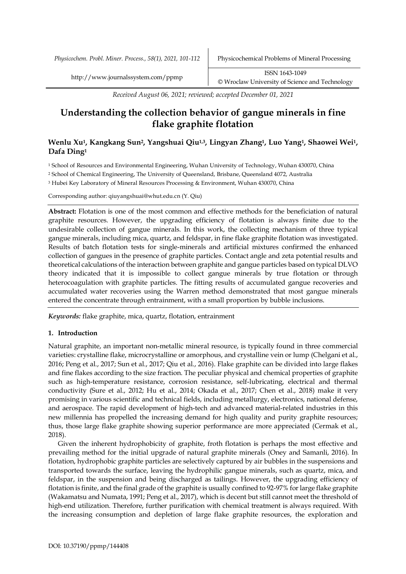*Physicochem. Probl. Miner. Process., 58(1), 2021, 101-112* Physicochemical Problems of Mineral Processing

*Received August 06, 2021; reviewed; accepted December 01, 2021*

# **Understanding the collection behavior of gangue minerals in fine flake graphite flotation**

## **Wenlu Xu1, Kangkang Sun2, Yangshuai Qiu1,3, Lingyan Zhang1, Luo Yang1, Shaowei Wei1, Dafa Ding1**

<sup>1</sup> School of Resources and Environmental Engineering, Wuhan University of Technology, Wuhan 430070, China

<sup>2</sup> School of Chemical Engineering, The University of Queensland, Brisbane, Queensland 4072, Australia

<sup>3</sup> Hubei Key Laboratory of Mineral Resources Processing & Environment, Wuhan 430070, China

Corresponding author: qiuyangshuai@whut.edu.cn (Y. Qiu)

**Abstract:** Flotation is one of the most common and effective methods for the beneficiation of natural graphite resources. However, the upgrading efficiency of flotation is always finite due to the undesirable collection of gangue minerals. In this work, the collecting mechanism of three typical gangue minerals, including mica, quartz, and feldspar, in fine flake graphite flotation was investigated. Results of batch flotation tests for single-minerals and artificial mixtures confirmed the enhanced collection of gangues in the presence of graphite particles. Contact angle and zeta potential results and theoretical calculations of the interaction between graphite and gangue particles based on typical DLVO theory indicated that it is impossible to collect gangue minerals by true flotation or through heterocoagulation with graphite particles. The fitting results of accumulated gangue recoveries and accumulated water recoveries using the Warren method demonstrated that most gangue minerals entered the concentrate through entrainment, with a small proportion by bubble inclusions.

*Keywords:* flake graphite, mica, quartz, flotation, entrainment

## **1. Introduction**

Natural graphite, an important non-metallic mineral resource, is typically found in three commercial varieties: crystalline flake, microcrystalline or amorphous, and crystalline vein or lump (Chelgani et al., 2016; Peng et al., 2017; Sun et al., 2017; Qiu et al., 2016). Flake graphite can be divided into large flakes and fine flakes according to the size fraction. The peculiar physical and chemical properties of graphite such as high-temperature resistance, corrosion resistance, self-lubricating, electrical and thermal conductivity (Sure et al., 2012; Hu et al., 2014; Okada et al., 2017; Chen et al., 2018) make it very promising in various scientific and technical fields, including metallurgy, electronics, national defense, and aerospace. The rapid development of high-tech and advanced material-related industries in this new millennia has propelled the increasing demand for high quality and purity graphite resources; thus, those large flake graphite showing superior performance are more appreciated (Cermak et al., 2018).

Given the inherent hydrophobicity of graphite, froth flotation is perhaps the most effective and prevailing method for the initial upgrade of natural graphite minerals (Oney and Samanli, 2016). In flotation, hydrophobic graphite particles are selectively captured by air bubbles in the suspensions and transported towards the surface, leaving the hydrophilic gangue minerals, such as quartz, mica, and feldspar, in the suspension and being discharged as tailings. However, the upgrading efficiency of flotation is finite, and the final grade of the graphite is usually confined to 92-97% for large flake graphite (Wakamatsu and Numata, 1991; Peng et al., 2017), which is decent but still cannot meet the threshold of high-end utilization. Therefore, further purification with chemical treatment is always required. With the increasing consumption and depletion of large flake graphite resources, the exploration and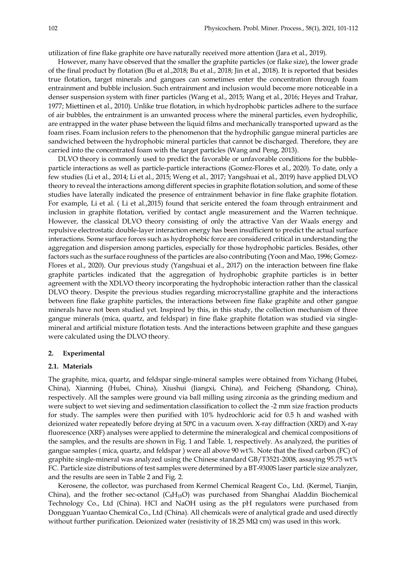utilization of fine flake graphite ore have naturally received more attention (Jara et al., 2019).

However, many have observed that the smaller the graphite particles (or flake size), the lower grade of the final product by flotation (Bu et al.,2018; Bu et al., 2018; Jin et al., 2018). It is reported that besides true flotation, target minerals and gangues can sometimes enter the concentration through foam entrainment and bubble inclusion. Such entrainment and inclusion would become more noticeable in a denser suspension system with finer particles (Wang et al., 2015; Wang et al., 2016; Heyes and Trahar, 1977; Miettinen et al., 2010). Unlike true flotation, in which hydrophobic particles adhere to the surface of air bubbles, the entrainment is an unwanted process where the mineral particles, even hydrophilic, are entrapped in the water phase between the liquid films and mechanically transported upward as the foam rises. Foam inclusion refers to the phenomenon that the hydrophilic gangue mineral particles are sandwiched between the hydrophobic mineral particles that cannot be discharged. Therefore, they are carried into the concentrated foam with the target particles (Wang and Peng, 2013).

DLVO theory is commonly used to predict the favorable or unfavorable conditions for the bubbleparticle interactions as well as particle-particle interactions (Gomez-Flores et al., 2020). To date, only a few studies (Li et al., 2014; Li et al., 2015; Weng et al., 2017; Yangshuai et al., 2019) have applied DLVO theory to reveal the interactions among different species in graphite flotation solution, and some of these studies have laterally indicated the presence of entrainment behavior in fine flake graphite flotation. For example, Li et al. ( Li et al.,2015) found that sericite entered the foam through entrainment and inclusion in graphite flotation, verified by contact angle measurement and the Warren technique. However, the classical DLVO theory consisting of only the attractive Van der Waals energy and repulsive electrostatic double-layer interaction energy has been insufficient to predict the actual surface interactions. Some surface forces such as hydrophobic force are considered critical in understanding the aggregation and dispersion among particles, especially for those hydrophobic particles. Besides, other factors such as the surface roughness of the particles are also contributing (Yoon and Mao, 1996; Gomez-Flores et al., 2020). Our previous study (Yangshuai et al., 2017) on the interaction between fine flake graphite particles indicated that the aggregation of hydrophobic graphite particles is in better agreement with the XDLVO theory incorporating the hydrophobic interaction rather than the classical DLVO theory. Despite the previous studies regarding microcrystalline graphite and the interactions between fine flake graphite particles, the interactions between fine flake graphite and other gangue minerals have not been studied yet. Inspired by this, in this study, the collection mechanism of three gangue minerals (mica, quartz, and feldspar) in fine flake graphite flotation was studied via singlemineral and artificial mixture flotation tests. And the interactions between graphite and these gangues were calculated using the DLVO theory.

#### **2. Experimental**

#### **2.1. Materials**

The graphite, mica, quartz, and feldspar single-mineral samples were obtained from Yichang (Hubei, China), Xianning (Hubei, China), Xiushui (Jiangxi, China), and Feicheng (Shandong, China), respectively. All the samples were ground via ball milling using zirconia as the grinding medium and were subject to wet sieving and sedimentation classification to collect the -2 mm size fraction products for study. The samples were then purified with 10% hydrochloric acid for 0.5 h and washed with deionized water repeatedly before drying at 50℃ in a vacuum oven. X-ray diffraction (XRD) and X-ray fluorescence (XRF) analyses were applied to determine the mineralogical and chemical compositions of the samples, and the results are shown in Fig. 1 and Table. 1, respectively. As analyzed, the purities of gangue samples ( mica, quartz, and feldspar ) were all above 90 wt%. Note that the fixed carbon (FC) of graphite single-mineral was analyzed using the Chinese standard GB/T3521-2008, assaying 95.75 wt% FC. Particle size distributions of test samples were determined by a BT-9300S laser particle size analyzer, and the results are seen in Table 2 and Fig. 2.

Kerosene, the collector, was purchased from Kermel Chemical Reagent Co., Ltd. (Kermel, Tianjin, China), and the frother sec-octanol  $(C_8H_{18}O)$  was purchased from Shanghai Aladdin Biochemical Technology Co., Ltd (China). HCl and NaOH using as the pH regulators were purchased from Dongguan Yuantao Chemical Co., Ltd (China). All chemicals were of analytical grade and used directly without further purification. Deionized water (resistivity of 18.25 MΩ cm) was used in this work.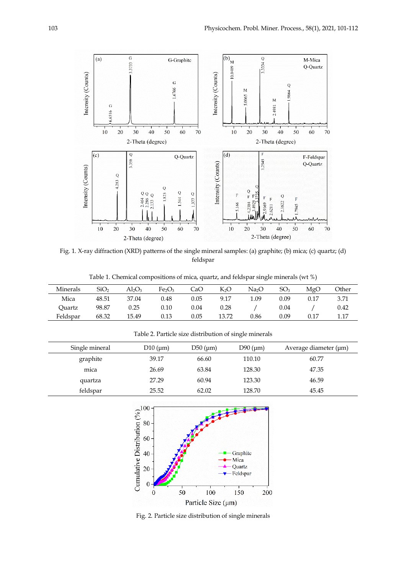

Fig. 1. X-ray diffraction (XRD) patterns of the single mineral samples: (a) graphite; (b) mica; (c) quartz; (d) feldspar

Table 1. Chemical compositions of mica, quartz, and feldspar single minerals (wt %)

| Minerals | SiO2  | Al2O3 | Fe <sub>2</sub> O <sub>3</sub> | CaO  | $K_2O$ | Na2O | SO <sub>3</sub> | MgO  | Other |
|----------|-------|-------|--------------------------------|------|--------|------|-----------------|------|-------|
| Mica     | 48.51 | 37.04 | 0.48                           | 0.05 | 9.17   | 1.09 | 0.09            | 0.17 | 3.71  |
| Ouartz   | 98.87 | 0.25  | 0.10                           | 0.04 | 0.28   |      | 0.04            |      | 0.42  |
| Feldspar | 68.32 | 15.49 | 0.13                           | 0.05 | 13.72  | 0.86 | 0.09            | 0.17 | 1.17  |

Table 2. Particle size distribution of single minerals

Single mineral  $D10 \text{ (µm)}$   $D50 \text{ (µm)}$   $D90 \text{ (µm)}$  Average diameter ( $\text{µm}$ ) graphite 39.17 66.60 110.10 60.77 mica 26.69 63.84 128.30 47.35 quartza 27.29 60.94 123.30 46.59 feldspar 25.52 62.02 128.70 45.45



Fig. 2. Particle size distribution of single minerals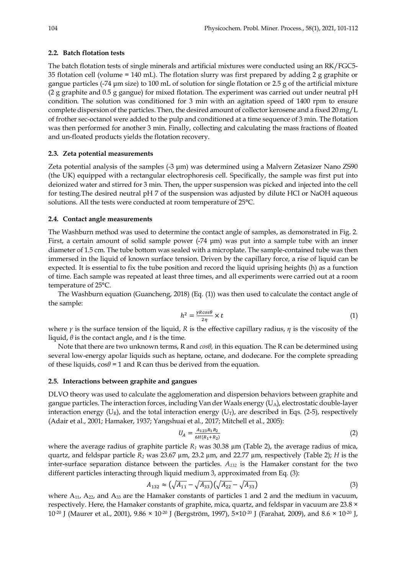#### **2.2. Batch flotation tests**

The batch flotation tests of single minerals and artificial mixtures were conducted using an RK/FGC5- 35 flotation cell (volume = 140 mL). The flotation slurry was first prepared by adding 2 g graphite or gangue particles (-74 µm size) to 100 mL of solution for single flotation or 2.5 g of the artificial mixture (2 g graphite and 0.5 g gangue) for mixed flotation. The experiment was carried out under neutral pH condition. The solution was conditioned for 3 min with an agitation speed of 1400 rpm to ensure complete dispersion of the particles. Then, the desired amount of collector kerosene and a fixed 20 mg/L of frother sec-octanol were added to the pulp and conditioned at a time sequence of 3 min. The flotation was then performed for another 3 min. Finally, collecting and calculating the mass fractions of floated and un-floated products yields the flotation recovery.

## **2.3. Zeta potential measurements**

Zeta potential analysis of the samples (-3 µm) was determined using a Malvern Zetasizer Nano ZS90 (the UK) equipped with a rectangular electrophoresis cell. Specifically, the sample was first put into deionized water and stirred for 3 min. Then, the upper suspension was picked and injected into the cell for testing.The desired neutral pH 7 of the suspension was adjusted by dilute HCl or NaOH aqueous solutions. All the tests were conducted at room temperature of 25°C.

## **2.4. Contact angle measurements**

The Washburn method was used to determine the contact angle of samples, as demonstrated in Fig. 2. First, a certain amount of solid sample power  $(-74 \mu m)$  was put into a sample tube with an inner diameter of 1.5 cm. The tube bottom was sealed with a microplate. The sample-contained tube was then immersed in the liquid of known surface tension. Driven by the capillary force, a rise of liquid can be expected. It is essential to fix the tube position and record the liquid uprising heights (h) as a function of time. Each sample was repeated at least three times, and all experiments were carried out at a room temperature of 25°C.

The Washburn equation (Guancheng, 2018) (Eq. (1)) was then used to calculate the contact angle of the sample:

$$
h^2 = \frac{\gamma R \cos \theta}{2\eta} \times t \tag{1}
$$

where  $\gamma$  is the surface tension of the liquid, *R* is the effective capillary radius, *η* is the viscosity of the liquid, *θ* is the contact angle, and *t* is the time.

Note that there are two unknown terms, R and *cosθ,* in this equation*.* The R can be determined using several low-energy apolar liquids such as heptane, octane, and dodecane. For the complete spreading of these liquids,  $\cos\theta = 1$  and R can thus be derived from the equation.

#### **2.5. Interactions between graphite and gangues**

DLVO theory was used to calculate the agglomeration and dispersion behaviors between graphite and gangue particles. The interaction forces, including Van der Waals energy  $(U_A)$ , electrostatic double-layer interaction energy ( $U_R$ ), and the total interaction energy ( $U_T$ ), are described in Eqs. (2-5), respectively (Adair et al., 2001; Hamaker, 1937; Yangshuai et al., 2017; Mitchell et al., 2005):

$$
U_A = \frac{A_{123}R_1R_2}{6H(R_1 + R_2)}\tag{2}
$$

where the average radius of graphite particle  $R_1$  was 30.38  $\mu$ m (Table 2), the average radius of mica, quartz, and feldspar particle *R2* was 23.67 µm, 23.2 µm, and 22.77 µm, respectively (Table 2); *H* is the inter-surface separation distance between the particles. *A132* is the Hamaker constant for the two different particles interacting through liquid medium 3, approximated from Eq. (3):

$$
A_{132} \approx \left(\sqrt{A_{11}} - \sqrt{A_{33}}\right) \left(\sqrt{A_{22}} - \sqrt{A_{33}}\right) \tag{3}
$$

where  $A_{11}$ ,  $A_{22}$ , and  $A_{33}$  are the Hamaker constants of particles 1 and 2 and the medium in vacuum, respectively. Here, the Hamaker constants of graphite, mica, quartz, and feldspar in vacuum are 23.8 ×  $10^{-20}$  J (Maurer et al., 2001),  $9.86 \times 10^{-20}$  J (Bergström, 1997),  $5 \times 10^{-20}$  J (Farahat, 2009), and  $8.6 \times 10^{-20}$  J,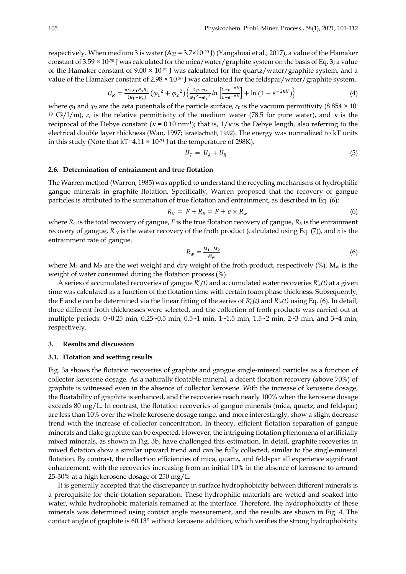respectively. When medium 3 is water  $(A_{33} = 3.7 \times 10^{-20}$  J) (Yangshuai et al., 2017), a value of the Hamaker constant of  $3.59 \times 10^{-20}$  J was calculated for the mica/water/graphite system on the basis of Eq. 3; a value of the Hamaker constant of  $9.00 \times 10^{-21}$  J was calculated for the quartz/water/graphite system, and a value of the Hamaker constant of 2.98  $\times$  10<sup>-20</sup> J was calculated for the feldspar/water/graphite system.

$$
U_R = \frac{\pi \varepsilon_0 \varepsilon_1 R_1 R_2}{(R_1 + R_2)} (\varphi_1^2 + \varphi_2^2) \left\{ \frac{2\varphi_1 \varphi_2}{\varphi_1^2 + \varphi_2^2} ln \left[ \frac{1 + e^{-\kappa H}}{1 - e^{-\kappa H}} \right] + ln \left( 1 - e^{-2\kappa H} \right) \right\}
$$
(4)

where  $\varphi_1$  and  $\varphi_2$  are the zeta potentials of the particle surface,  $\varepsilon_0$  is the vacuum permittivity (8.854 × 10-<sup>19</sup> C<sup>2</sup>/J/m),  $\varepsilon$ <sub>r</sub> is the relative permittivity of the medium water (78.5 for pure water), and  $\kappa$  is the reciprocal of the Debye constant ( $\kappa$  = 0.10 nm<sup>-1</sup>); that is,  $1/\kappa$  is the Debye length, also referring to the electrical double layer thickness (Wan, 1997; Israelachvili, 1992). The energy was normalized to kT units in this study (Note that  $kT=4.11 \times 10^{-21}$  J at the temperature of 298K).

$$
U_T = U_A + U_R \tag{5}
$$

#### **2.6. Determination of entrainment and true flotation**

The Warren method (Warren, 1985) was applied to understand the recycling mechanisms of hydrophilic gangue minerals in graphite flotation. Specifically, Warren proposed that the recovery of gangue particles is attributed to the summation of true flotation and entrainment, as described in Eq. (6):

$$
R_G = F + R_E = F + e \times R_w \tag{6}
$$

where  $R_G$  is the total recovery of gangue, *F* is the true flotation recovery of gangue,  $R_E$  is the entrainment recovery of gangue, *RW* is the water recovery of the froth product (calculated using Eq. (7)), and *e* is the entrainment rate of gangue.

$$
R_w = \frac{M_1 - M_2}{M_w} \tag{6}
$$

where  $M_1$  and  $M_2$  are the wet weight and dry weight of the froth product, respectively (%),  $M_w$  is the weight of water consumed during the flotation process (%).

A series of accumulated recoveries of gangue  $R_G^c(t)$  and accumulated water recoveries  $R_W^c(t)$  at a given time was calculated as a function of the flotation time with certain foam phase thickness. Subsequently, the F and e can be determined via the linear fitting of the series of  $R_G^c(t)$  and  $R_W^c(t)$  using Eq. (6). In detail, three different froth thicknesses were selected, and the collection of froth products was carried out at multiple periods: 0~0.25 min, 0.25~0.5 min, 0.5~1 min, 1~1.5 min, 1.5~2 min, 2~3 min, and 3~4 min, respectively.

#### **3. Results and discussion**

#### **3.1. Flotation and wetting results**

Fig. 3a shows the flotation recoveries of graphite and gangue single-mineral particles as a function of collector kerosene dosage. As a naturally floatable mineral, a decent flotation recovery (above 70%) of graphite is witnessed even in the absence of collector kerosene. With the increase of kerosene dosage, the floatability of graphite is enhanced, and the recoveries reach nearly 100% when the kerosene dosage exceeds 80 mg/L. In contrast, the flotation recoveries of gangue minerals (mica, quartz, and feldspar) are less than 10% over the whole kerosene dosage range, and more interestingly, show a slight decrease trend with the increase of collector concentration. In theory, efficient flotation separation of gangue minerals and flake graphite can be expected. However, the intriguing flotation phenomena of artificially mixed minerals, as shown in Fig. 3b, have challenged this estimation. In detail, graphite recoveries in mixed flotation show a similar upward trend and can be fully collected, similar to the single-mineral flotation. By contrast, the collection efficiencies of mica, quartz, and feldspar all experience significant enhancement, with the recoveries increasing from an initial 10% in the absence of kerosene to around 25-30% at a high kerosene dosage of 250 mg/L.

It is generally accepted that the discrepancy in surface hydrophobicity between different minerals is a prerequisite for their flotation separation. These hydrophilic materials are wetted and soaked into water, while hydrophobic materials remained at the interface. Therefore, the hydrophobicity of these minerals was determined using contact angle measurement, and the results are shown in Fig. 4. The contact angle of graphite is 60.13° without kerosene addition, which verifies the strong hydrophobicity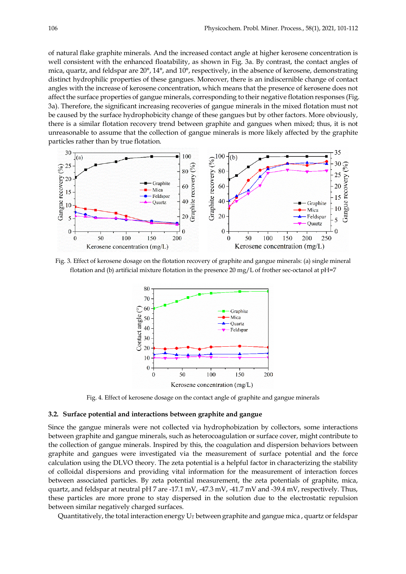of natural flake graphite minerals. And the increased contact angle at higher kerosene concentration is well consistent with the enhanced floatability, as shown in Fig. 3a. By contrast, the contact angles of mica, quartz, and feldspar are 20°, 14°, and 10°, respectively, in the absence of kerosene, demonstrating distinct hydrophilic properties of these gangues. Moreover, there is an indiscernible change of contact angles with the increase of kerosene concentration, which means that the presence of kerosene does not affect the surface properties of gangue minerals, corresponding to their negative flotation responses (Fig. 3a). Therefore, the significant increasing recoveries of gangue minerals in the mixed flotation must not be caused by the surface hydrophobicity change of these gangues but by other factors. More obviously, there is a similar flotation recovery trend between graphite and gangues when mixed; thus, it is not unreasonable to assume that the collection of gangue minerals is more likely affected by the graphite particles rather than by true flotation.



Fig. 3. Effect of kerosene dosage on the flotation recovery of graphite and gangue minerals: (a) single mineral flotation and (b) artificial mixture flotation in the presence  $20 \text{ mg/L}$  of frother sec-octanol at pH=7



Fig. 4. Effect of kerosene dosage on the contact angle of graphite and gangue minerals

#### **3.2. Surface potential and interactions between graphite and gangue**

Since the gangue minerals were not collected via hydrophobization by collectors, some interactions between graphite and gangue minerals, such as heterocoagulation or surface cover, might contribute to the collection of gangue minerals. Inspired by this, the coagulation and dispersion behaviors between graphite and gangues were investigated via the measurement of surface potential and the force calculation using the DLVO theory. The zeta potential is a helpful factor in characterizing the stability of colloidal dispersions and providing vital information for the measurement of interaction forces between associated particles. By zeta potential measurement, the zeta potentials of graphite, mica, quartz, and feldspar at neutral pH 7 are -17.1 mV, -47.3 mV, -41.7 mV and -39.4 mV, respectively. Thus, these particles are more prone to stay dispersed in the solution due to the electrostatic repulsion between similar negatively charged surfaces.

Quantitatively, the total interaction energy  $U_T$  between graphite and gangue mica, quartz or feldspar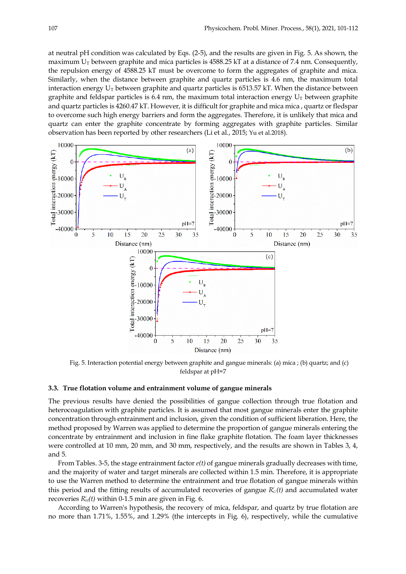at neutral pH condition was calculated by Eqs. (2-5), and the results are given in Fig. 5. As shown, the maximum  $U_T$  between graphite and mica particles is 4588.25 kT at a distance of 7.4 nm. Consequently, the repulsion energy of 4588.25 kT must be overcome to form the aggregates of graphite and mica. Similarly, when the distance between graphite and quartz particles is 4.6 nm, the maximum total interaction energy  $U_T$  between graphite and quartz particles is 6513.57 kT. When the distance between graphite and feldspar particles is 6.4 nm, the maximum total interaction energy  $U_T$  between graphite and quartz particles is 4260.47 kT. However, it is difficult for graphite and mica mica , quartz or fledspar to overcome such high energy barriers and form the aggregates. Therefore, it is unlikely that mica and quartz can enter the graphite concentrate by forming aggregates with graphite particles. Similar observation has been reported by other researchers (Li et al., 2015; Yu et al.2018).



Fig. 5. Interaction potential energy between graphite and gangue minerals: (a) mica ; (b) quartz; and (c) feldspar at pH=7

#### **3.3. True flotation volume and entrainment volume of gangue minerals**

The previous results have denied the possibilities of gangue collection through true flotation and heterocoagulation with graphite particles. It is assumed that most gangue minerals enter the graphite concentration through entrainment and inclusion, given the condition of sufficient liberation. Here, the method proposed by Warren was applied to determine the proportion of gangue minerals entering the concentrate by entrainment and inclusion in fine flake graphite flotation. The foam layer thicknesses were controlled at 10 mm, 20 mm, and 30 mm, respectively, and the results are shown in Tables 3, 4, and 5.

From Tables. 3-5, the stage entrainment factor *e(t)* of gangue minerals gradually decreases with time, and the majority of water and target minerals are collected within 1.5 min. Therefore, it is appropriate to use the Warren method to determine the entrainment and true flotation of gangue minerals within this period and the fitting results of accumulated recoveries of gangue  $R<sub>G</sub><sup>c</sup>(t)$  and accumulated water recoveries  $R_W^c(t)$  within 0-1.5 min are given in Fig. 6.

According to Warren's hypothesis, the recovery of mica, feldspar, and quartz by true flotation are no more than 1.71%, 1.55%, and 1.29% (the intercepts in Fig. 6), respectively, while the cumulative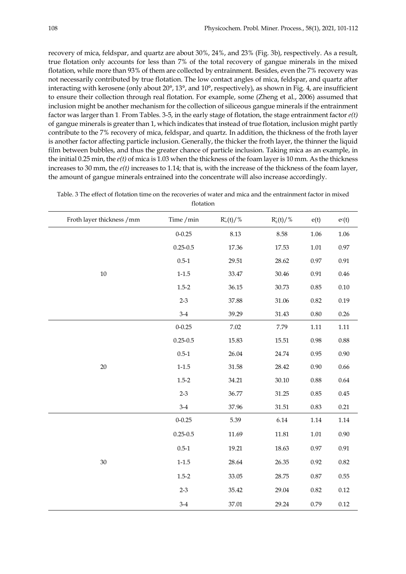recovery of mica, feldspar, and quartz are about 30%, 24%, and 23% (Fig. 3b), respectively. As a result, true flotation only accounts for less than 7% of the total recovery of gangue minerals in the mixed flotation, while more than 93% of them are collected by entrainment. Besides, even the 7% recovery was not necessarily contributed by true flotation. The low contact angles of mica, feldspar, and quartz after interacting with kerosene (only about 20°, 13°, and 10°, respectively), as shown in Fig. 4, are insufficient to ensure their collection through real flotation. For example, some (Zheng et al., 2006) assumed that inclusion might be another mechanism for the collection of siliceous gangue minerals if the entrainment factor was larger than 1. From Tables. 3-5, in the early stage of flotation, the stage entrainment factor *e(t)* of gangue minerals is greater than 1, which indicates that instead of true flotation, inclusion might partly contribute to the 7% recovery of mica, feldspar, and quartz. In addition, the thickness of the froth layer is another factor affecting particle inclusion. Generally, the thicker the froth layer, the thinner the liquid film between bubbles, and thus the greater chance of particle inclusion. Taking mica as an example, in the initial 0.25 min, the *e(t)* of mica is 1.03 when the thickness of the foam layer is 10 mm. As the thickness increases to 30 mm, the *e(t)* increases to 1.14; that is, with the increase of the thickness of the foam layer, the amount of gangue minerals entrained into the concentrate will also increase accordingly.

| Froth layer thickness / mm | Time / min   | $R_{w}^{c}(t)/\%$ | $R_g^c(t)/\%$ | e(t)     | $e^{c}(t)$ |
|----------------------------|--------------|-------------------|---------------|----------|------------|
|                            | $0 - 0.25$   | 8.13              | 8.58          | 1.06     | 1.06       |
|                            | $0.25 - 0.5$ | 17.36             | 17.53         | $1.01\,$ | $0.97\,$   |
|                            | $0.5 - 1$    | 29.51             | 28.62         | $0.97\,$ | 0.91       |
| 10                         | $1 - 1.5$    | 33.47             | 30.46         | $0.91\,$ | 0.46       |
|                            | $1.5 - 2$    | 36.15             | 30.73         | 0.85     | $0.10\,$   |
|                            | $2 - 3$      | 37.88             | 31.06         | 0.82     | 0.19       |
|                            | $3-4$        | 39.29             | 31.43         | 0.80     | 0.26       |
|                            | $0 - 0.25$   | 7.02              | 7.79          | $1.11\,$ | $1.11\,$   |
|                            | $0.25 - 0.5$ | 15.83             | 15.51         | 0.98     | $0.88\,$   |
|                            | $0.5 - 1$    | 26.04             | 24.74         | 0.95     | $0.90\,$   |
| 20                         | $1 - 1.5$    | 31.58             | 28.42         | 0.90     | 0.66       |
|                            | $1.5 - 2$    | 34.21             | 30.10         | $0.88\,$ | 0.64       |
|                            | $2 - 3$      | 36.77             | 31.25         | 0.85     | $0.45\,$   |
|                            | $3-4$        | 37.96             | 31.51         | 0.83     | 0.21       |
|                            | $0 - 0.25$   | 5.39              | 6.14          | 1.14     | 1.14       |
|                            | $0.25 - 0.5$ | 11.69             | 11.81         | $1.01\,$ | $0.90\,$   |
|                            | $0.5 - 1$    | 19.21             | 18.63         | 0.97     | $0.91\,$   |
| 30                         | $1 - 1.5$    | 28.64             | 26.35         | 0.92     | 0.82       |
|                            | $1.5 - 2$    | 33.05             | 28.75         | $0.87\,$ | $0.55\,$   |
|                            | $2 - 3$      | 35.42             | 29.04         | 0.82     | 0.12       |
|                            | $3 - 4$      | $37.01\,$         | 29.24         | 0.79     | $0.12\,$   |

Table. 3 The effect of flotation time on the recoveries of water and mica and the entrainment factor in mixed flotation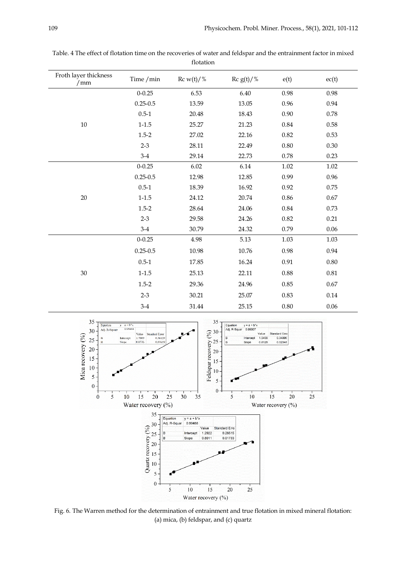| Froth layer thickness<br>/mm | Time / min   | $\operatorname{Rc}$ w(t)/% | $\operatorname{Rc}$ g(t)/% | e(t)     | ec(t)    |
|------------------------------|--------------|----------------------------|----------------------------|----------|----------|
|                              | $0 - 0.25$   | 6.53                       | 6.40                       | 0.98     | 0.98     |
|                              | $0.25 - 0.5$ | 13.59                      | 13.05                      | 0.96     | 0.94     |
|                              | $0.5 - 1$    | 20.48                      | 18.43                      | 0.90     | 0.78     |
| $10\,$                       | $1 - 1.5$    | 25.27                      | 21.23                      | 0.84     | $0.58\,$ |
|                              | $1.5 - 2$    | 27.02                      | 22.16                      | 0.82     | 0.53     |
|                              | $2 - 3$      | 28.11                      | 22.49                      | $0.80\,$ | 0.30     |
|                              | $3-4$        | 29.14                      | 22.73                      | 0.78     | 0.23     |
|                              | $0 - 0.25$   | 6.02                       | 6.14                       | 1.02     | $1.02\,$ |
|                              | $0.25 - 0.5$ | 12.98                      | 12.85                      | 0.99     | 0.96     |
|                              | $0.5 - 1$    | 18.39                      | 16.92                      | 0.92     | 0.75     |
| $20\,$                       | $1 - 1.5$    | 24.12                      | 20.74                      | 0.86     | 0.67     |
|                              | $1.5 - 2$    | 28.64                      | 24.06                      | 0.84     | 0.73     |
|                              | $2 - 3$      | 29.58                      | 24.26                      | 0.82     | 0.21     |
|                              | $3-4$        | 30.79                      | 24.32                      | 0.79     | 0.06     |
|                              | $0 - 0.25$   | 4.98                       | 5.13                       | 1.03     | 1.03     |
|                              | $0.25 - 0.5$ | 10.98                      | 10.76                      | 0.98     | 0.94     |
|                              | $0.5 - 1$    | 17.85                      | 16.24                      | $0.91\,$ | $0.80\,$ |
| $30\,$                       | $1 - 1.5$    | 25.13                      | 22.11                      | 0.88     | $0.81\,$ |
|                              | $1.5 - 2$    | 29.36                      | 24.96                      | 0.85     | 0.67     |
|                              | $2 - 3$      | 30.21                      | 25.07                      | $0.83\,$ | $0.14\,$ |
|                              | $3-4$        | 31.44                      | 25.15                      | 0.80     | $0.06\,$ |

Table. 4 The effect of flotation time on the recoveries of water and feldspar and the entrainment factor in mixed flotation



Fig. 6. The Warren method for the determination of entrainment and true flotation in mixed mineral flotation: (a) mica, (b) feldspar, and (c) quartz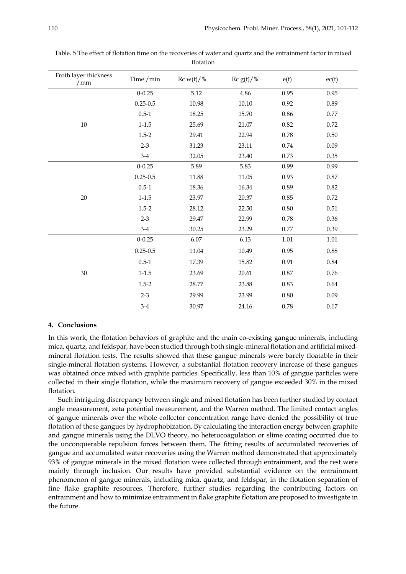| Froth layer thickness<br>/mm | Time / min   | $\operatorname{Rc}$ w(t)/% | Rc $g(t)/%$ | e(t)     | ec(t)    |
|------------------------------|--------------|----------------------------|-------------|----------|----------|
|                              | $0 - 0.25$   | 5.12                       | 4.86        | 0.95     | 0.95     |
|                              | $0.25 - 0.5$ | 10.98                      | 10.10       | 0.92     | 0.89     |
|                              | $0.5 - 1$    | 18.25                      | 15.70       | 0.86     | 0.77     |
| $10\,$                       | $1 - 1.5$    | 25.69                      | 21.07       | 0.82     | 0.72     |
|                              | $1.5 - 2$    | 29.41                      | 22.94       | 0.78     | $0.50\,$ |
|                              | $2 - 3$      | 31.23                      | 23.11       | 0.74     | 0.09     |
|                              | $3-4$        | 32.05                      | 23.40       | 0.73     | 0.35     |
|                              | $0 - 0.25$   | 5.89                       | 5.83        | 0.99     | 0.99     |
|                              | $0.25 - 0.5$ | 11.88                      | 11.05       | 0.93     | 0.87     |
|                              | $0.5 - 1$    | 18.36                      | 16.34       | 0.89     | 0.82     |
| 20                           | $1 - 1.5$    | 23.97                      | 20.37       | 0.85     | 0.72     |
|                              | $1.5 - 2$    | 28.12                      | 22.50       | 0.80     | $0.51\,$ |
|                              | $2 - 3$      | 29.47                      | 22.99       | 0.78     | 0.36     |
|                              | $3-4$        | 30.25                      | 23.29       | 0.77     | 0.39     |
|                              | $0 - 0.25$   | 6.07                       | 6.13        | 1.01     | $1.01\,$ |
|                              | $0.25 - 0.5$ | 11.04                      | 10.49       | 0.95     | 0.88     |
|                              | $0.5 - 1$    | 17.39                      | 15.82       | $0.91\,$ | 0.84     |
| $30\,$                       | $1 - 1.5$    | 23.69                      | 20.61       | 0.87     | 0.76     |
|                              | $1.5 - 2$    | 28.77                      | 23.88       | 0.83     | 0.64     |
|                              | $2 - 3$      | 29.99                      | 23.99       | 0.80     | $0.09\,$ |
|                              | $3-4$        | 30.97                      | 24.16       | 0.78     | $0.17\,$ |

Table. 5 The effect of flotation time on the recoveries of water and quartz and the entrainment factor in mixed flotation

### **4. Conclusions**

In this work, the flotation behaviors of graphite and the main co-existing gangue minerals, including mica, quartz, and feldspar, have been studied through both single-mineral flotation and artificial mixedmineral flotation tests. The results showed that these gangue minerals were barely floatable in their single-mineral flotation systems. However, a substantial flotation recovery increase of these gangues was obtained once mixed with graphite particles. Specifically, less than 10% of gangue particles were collected in their single flotation, while the maximum recovery of gangue exceeded 30% in the mixed flotation.

Such intriguing discrepancy between single and mixed flotation has been further studied by contact angle measurement, zeta potential measurement, and the Warren method. The limited contact angles of gangue minerals over the whole collector concentration range have denied the possibility of true flotation of these gangues by hydrophobization. By calculating the interaction energy between graphite and gangue minerals using the DLVO theory, no heterocoagulation or slime coating occurred due to the unconquerable repulsion forces between them. The fitting results of accumulated recoveries of gangue and accumulated water recoveries using the Warren method demonstrated that approximately 93% of gangue minerals in the mixed flotation were collected through entrainment, and the rest were mainly through inclusion. Our results have provided substantial evidence on the entrainment phenomenon of gangue minerals, including mica, quartz, and feldspar, in the flotation separation of fine flake graphite resources. Therefore, further studies regarding the contributing factors on entrainment and how to minimize entrainment in flake graphite flotation are proposed to investigate in the future.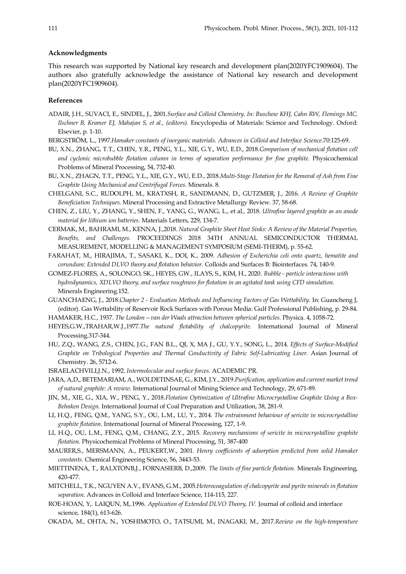#### **Acknowledgments**

This research was supported by National key research and development plan(2020YFC1909604). The authors also gratefully acknowledge the assistance of National key research and development plan(2020YFC1909604).

## **References**

- ADAIR, J.H., SUVACI, E., SINDEL, J., 2001.*Surface and Colloid Chemistry. In: Buschow KHJ, Cahn RW, Flemings MC, Ilschner B, Kramer EJ, Mahajan S, et al., (editors).* Encyclopedia of Materials: Science and Technology. Oxford: Elsevier, p. 1-10.
- BERGSTRÖM, L., 1997.*Hamaker constants of inorganic materials. Advances in Colloid and Interface Science.*70:125-69.
- BU, X.N., ZHANG, T.T., CHEN, Y.R., PENG, Y.L., XIE, G.Y., WU, E.D., 2018.*Comparison of mechanical flotation cell*  and cyclonic microbubble flotation column in terms of separation performance for fine graphite. Physicochemical Problems of Mineral Processing, 54, 732-40.
- BU, X.N., ZHAGN, T.T., PENG, Y.L., XIE, G.Y., WU, E.D., 2018.*Multi-Stage Flotation for the Removal of Ash from Fine Graphite Using Mechanical and Centrifugal Forces.* Minerals. 8.
- CHELGANI, S.C., RUDOLPH, M., KRATXSH, R., SANDMANN, D., GUTZMER, J., 2016. *A Review of Graphite Beneficiation Techniques.* Mineral Processing and Extractive Metallurgy Review. 37, 58-68.
- CHEN, Z., LIU, Y., ZHANG, Y., SHEN, F., YANG, G., WANG, L., et al., 2018. *Ultrafine layered graphite as an anode material for lithium ion batteries.* Materials Letters, 229, 134-7.
- CERMAK, M., BAHRAMI, M., KENNA, J.,2018. *Natural Graphite Sheet Heat Sinks: A Review of the Material Properties, Benefits, and Challenges.* PROCEEDINGS 2018 34TH ANNUAL SEMICONDUCTOR THERMAL MEASUREMENT, MODELLING & MANAGEMENT SYMPOSIUM (SEMI-THERM), p. 55-62.
- FARAHAT, M., HIRAJIMA, T., SASAKI, K., DOI, K., 2009. *Adhesion of Escherichia coli onto quartz, hematite and corundum: Extended DLVO theory and flotation behavior.* Colloids and Surfaces B: Biointerfaces. 74, 140-9.
- GOMEZ-FLORES, A., SOLONGO, SK., HEYES, GW., ILAYS, S., KIM, H., 2020. *Bubble - particle interactions with hydrodynamics, XDLVO theory, and surface roughness for flotation in an agitated tank using CFD simulation.* Minerals Engineering.152.
- GUANCHAENG, J., 2018.*Chapter 2 - Evaluation Methods and Influencing Factors of Gas Wettability.* In: Guancheng J, (editor). Gas Wettability of Reservoir Rock Surfaces with Porous Media: Gulf Professional Publishing, p. 29-84.
- HAMAKER, H.C., 1937. *The London—van der Waals attraction between spherical particles.* Physica. 4, 1058-72.
- HEYES,G.W.,TRAHAR,W.J.,1977.*The natural flotability of chalcopyrite.* International Journal of Mineral Processing.317-344.
- HU, Z.Q., WANG, Z.S., CHEN, J.G., FAN B.L., QI, X, MA J., GU, Y.Y., SONG, L., 2014. *Effects of Surface-Modified Graphite on Tribological Properties and Thermal Conductivity of Fabric Self-Lubricating Liner.* Asian Journal of Chemistry. 26, 5712-6.
- ISRAELACHVILI,J.N., 1992. *Intermolecular and surface forces*. ACADEMIC PR.
- JARA, A,D,, BETEMARIAM, A., WOLDETINSAE, G., KIM, J.Y., 2019.*Purification, application and current market trend of natural graphite: A review.* International Journal of Mining Science and Technology, 29, 671-89.
- JIN, M., XIE, G., XIA, W., PENG, Y., 2018.*Flotation Optimization of Ultrafine Microcrystalline Graphite Using a Box-Behnken Design.* International Journal of Coal Preparation and Utilization, 38, 281-9.
- LI, H.Q., FENG, Q.M., YANG, S.Y., OU, L.M., LU, Y., 2014. *The entrainment behaviour of sericite in microcrystalline graphite flotation.* International Journal of Mineral Processing, 127, 1-9.
- LI, H.Q., OU, L.M., FENG, Q.M., CHANG, Z.Y., 2015. *Recovery mechanisms of sericite in microcrystalline graphite flotation.* Physicochemical Problems of Mineral Processing, 51, 387-400
- MAURER,S., MERSMANN, A., PEUKERT,W., 2001. *Henry coefficients of adsorption predicted from solid Hamaker constants.* Chemical Engineering Science, 56, 3443-53.
- MIETTINENA, T., RALXTONB,J., FORNASIERB, D.,2009. *The limits of fine particle flotation.* Minerals Engineering, 420-477.
- MITCHELL, T.K., NGUYEN A.V., EVANS, G.M., 2005.*Heterocoagulation of chalcopyrite and pyrite minerals in flotation separation.* Advances in Colloid and Interface Science, 114-115, 227.
- ROE-HOAN, Y,. LAIQUN, M,.1996. *Application of Extended DLVO Theory, IV.* Journal of colloid and interface science, 184(1), 613-626.
- OKADA, M., OHTA, N., YOSHIMOTO, O., TATSUMI, M., INAGAKI, M., 2017.*Review on the high-temperature*